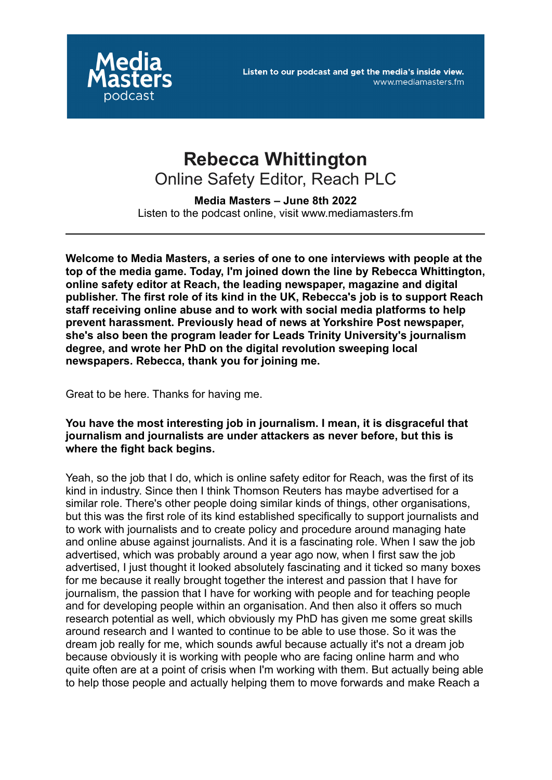

# **Rebecca Whittington** Online Safety Editor, Reach PLC

**Media Masters – June 8th 2022** Listen to the podcast online, visit www.mediamasters.fm

**Welcome to Media Masters, a series of one to one interviews with people at the top of the media game. Today, I'm joined down the line by Rebecca Whittington, online safety editor at Reach, the leading newspaper, magazine and digital publisher. The first role of its kind in the UK, Rebecca's job is to support Reach staff receiving online abuse and to work with social media platforms to help prevent harassment. Previously head of news at Yorkshire Post newspaper, she's also been the program leader for Leads Trinity University's journalism degree, and wrote her PhD on the digital revolution sweeping local newspapers. Rebecca, thank you for joining me.**

Great to be here. Thanks for having me.

**You have the most interesting job in journalism. I mean, it is disgraceful that journalism and journalists are under attackers as never before, but this is where the fight back begins.**

Yeah, so the job that I do, which is online safety editor for Reach, was the first of its kind in industry. Since then I think Thomson Reuters has maybe advertised for a similar role. There's other people doing similar kinds of things, other organisations, but this was the first role of its kind established specifically to support journalists and to work with journalists and to create policy and procedure around managing hate and online abuse against journalists. And it is a fascinating role. When I saw the job advertised, which was probably around a year ago now, when I first saw the job advertised, I just thought it looked absolutely fascinating and it ticked so many boxes for me because it really brought together the interest and passion that I have for journalism, the passion that I have for working with people and for teaching people and for developing people within an organisation. And then also it offers so much research potential as well, which obviously my PhD has given me some great skills around research and I wanted to continue to be able to use those. So it was the dream job really for me, which sounds awful because actually it's not a dream job because obviously it is working with people who are facing online harm and who quite often are at a point of crisis when I'm working with them. But actually being able to help those people and actually helping them to move forwards and make Reach a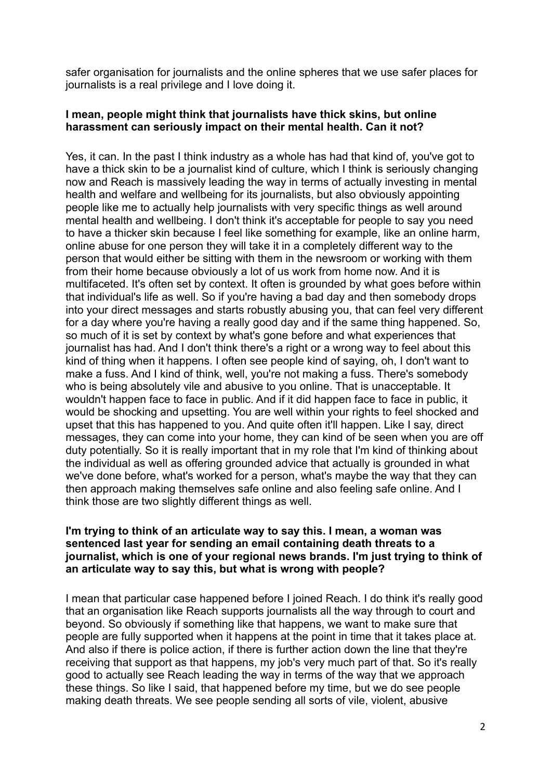safer organisation for journalists and the online spheres that we use safer places for journalists is a real privilege and I love doing it.

## **I mean, people might think that journalists have thick skins, but online harassment can seriously impact on their mental health. Can it not?**

Yes, it can. In the past I think industry as a whole has had that kind of, you've got to have a thick skin to be a journalist kind of culture, which I think is seriously changing now and Reach is massively leading the way in terms of actually investing in mental health and welfare and wellbeing for its journalists, but also obviously appointing people like me to actually help journalists with very specific things as well around mental health and wellbeing. I don't think it's acceptable for people to say you need to have a thicker skin because I feel like something for example, like an online harm, online abuse for one person they will take it in a completely different way to the person that would either be sitting with them in the newsroom or working with them from their home because obviously a lot of us work from home now. And it is multifaceted. It's often set by context. It often is grounded by what goes before within that individual's life as well. So if you're having a bad day and then somebody drops into your direct messages and starts robustly abusing you, that can feel very different for a day where you're having a really good day and if the same thing happened. So, so much of it is set by context by what's gone before and what experiences that journalist has had. And I don't think there's a right or a wrong way to feel about this kind of thing when it happens. I often see people kind of saying, oh, I don't want to make a fuss. And I kind of think, well, you're not making a fuss. There's somebody who is being absolutely vile and abusive to you online. That is unacceptable. It wouldn't happen face to face in public. And if it did happen face to face in public, it would be shocking and upsetting. You are well within your rights to feel shocked and upset that this has happened to you. And quite often it'll happen. Like I say, direct messages, they can come into your home, they can kind of be seen when you are off duty potentially. So it is really important that in my role that I'm kind of thinking about the individual as well as offering grounded advice that actually is grounded in what we've done before, what's worked for a person, what's maybe the way that they can then approach making themselves safe online and also feeling safe online. And I think those are two slightly different things as well.

#### **I'm trying to think of an articulate way to say this. I mean, a woman was sentenced last year for sending an email containing death threats to a journalist, which is one of your regional news brands. I'm just trying to think of an articulate way to say this, but what is wrong with people?**

I mean that particular case happened before I joined Reach. I do think it's really good that an organisation like Reach supports journalists all the way through to court and beyond. So obviously if something like that happens, we want to make sure that people are fully supported when it happens at the point in time that it takes place at. And also if there is police action, if there is further action down the line that they're receiving that support as that happens, my job's very much part of that. So it's really good to actually see Reach leading the way in terms of the way that we approach these things. So like I said, that happened before my time, but we do see people making death threats. We see people sending all sorts of vile, violent, abusive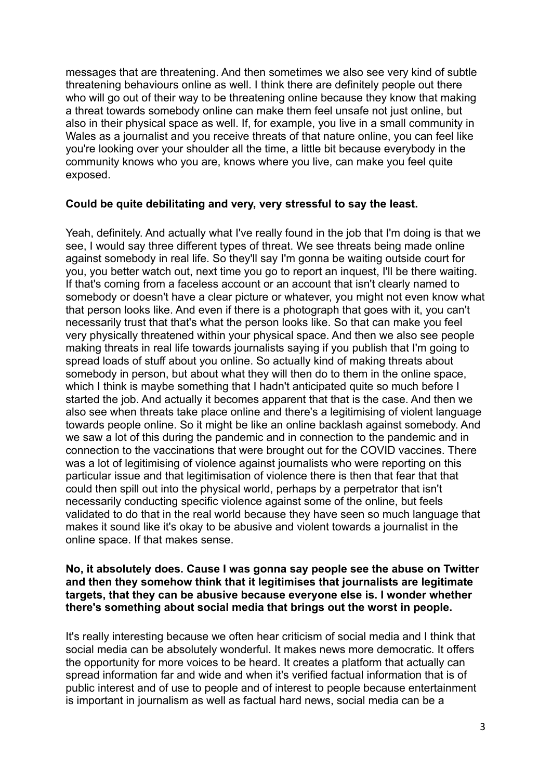messages that are threatening. And then sometimes we also see very kind of subtle threatening behaviours online as well. I think there are definitely people out there who will go out of their way to be threatening online because they know that making a threat towards somebody online can make them feel unsafe not just online, but also in their physical space as well. If, for example, you live in a small community in Wales as a journalist and you receive threats of that nature online, you can feel like you're looking over your shoulder all the time, a little bit because everybody in the community knows who you are, knows where you live, can make you feel quite exposed.

## **Could be quite debilitating and very, very stressful to say the least.**

Yeah, definitely. And actually what I've really found in the job that I'm doing is that we see, I would say three different types of threat. We see threats being made online against somebody in real life. So they'll say I'm gonna be waiting outside court for you, you better watch out, next time you go to report an inquest, I'll be there waiting. If that's coming from a faceless account or an account that isn't clearly named to somebody or doesn't have a clear picture or whatever, you might not even know what that person looks like. And even if there is a photograph that goes with it, you can't necessarily trust that that's what the person looks like. So that can make you feel very physically threatened within your physical space. And then we also see people making threats in real life towards journalists saying if you publish that I'm going to spread loads of stuff about you online. So actually kind of making threats about somebody in person, but about what they will then do to them in the online space, which I think is maybe something that I hadn't anticipated quite so much before I started the job. And actually it becomes apparent that that is the case. And then we also see when threats take place online and there's a legitimising of violent language towards people online. So it might be like an online backlash against somebody. And we saw a lot of this during the pandemic and in connection to the pandemic and in connection to the vaccinations that were brought out for the COVID vaccines. There was a lot of legitimising of violence against journalists who were reporting on this particular issue and that legitimisation of violence there is then that fear that that could then spill out into the physical world, perhaps by a perpetrator that isn't necessarily conducting specific violence against some of the online, but feels validated to do that in the real world because they have seen so much language that makes it sound like it's okay to be abusive and violent towards a journalist in the online space. If that makes sense.

#### **No, it absolutely does. Cause I was gonna say people see the abuse on Twitter and then they somehow think that it legitimises that journalists are legitimate targets, that they can be abusive because everyone else is. I wonder whether there's something about social media that brings out the worst in people.**

It's really interesting because we often hear criticism of social media and I think that social media can be absolutely wonderful. It makes news more democratic. It offers the opportunity for more voices to be heard. It creates a platform that actually can spread information far and wide and when it's verified factual information that is of public interest and of use to people and of interest to people because entertainment is important in journalism as well as factual hard news, social media can be a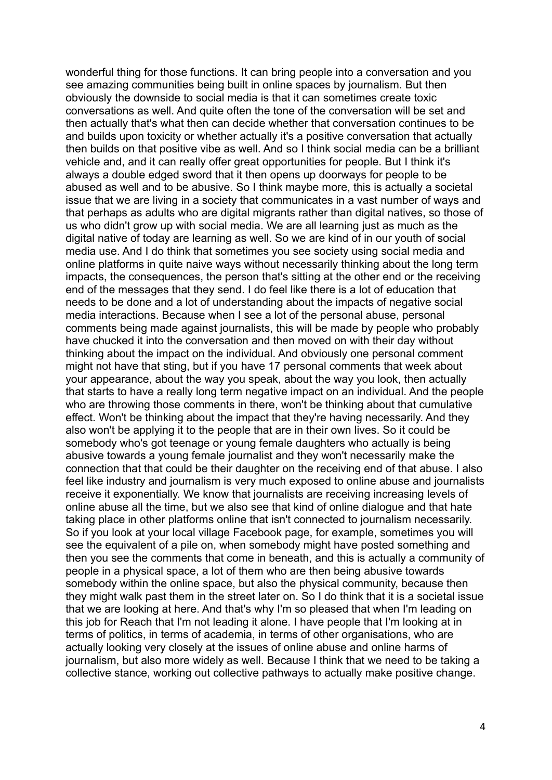wonderful thing for those functions. It can bring people into a conversation and you see amazing communities being built in online spaces by journalism. But then obviously the downside to social media is that it can sometimes create toxic conversations as well. And quite often the tone of the conversation will be set and then actually that's what then can decide whether that conversation continues to be and builds upon toxicity or whether actually it's a positive conversation that actually then builds on that positive vibe as well. And so I think social media can be a brilliant vehicle and, and it can really offer great opportunities for people. But I think it's always a double edged sword that it then opens up doorways for people to be abused as well and to be abusive. So I think maybe more, this is actually a societal issue that we are living in a society that communicates in a vast number of ways and that perhaps as adults who are digital migrants rather than digital natives, so those of us who didn't grow up with social media. We are all learning just as much as the digital native of today are learning as well. So we are kind of in our youth of social media use. And I do think that sometimes you see society using social media and online platforms in quite naive ways without necessarily thinking about the long term impacts, the consequences, the person that's sitting at the other end or the receiving end of the messages that they send. I do feel like there is a lot of education that needs to be done and a lot of understanding about the impacts of negative social media interactions. Because when I see a lot of the personal abuse, personal comments being made against journalists, this will be made by people who probably have chucked it into the conversation and then moved on with their day without thinking about the impact on the individual. And obviously one personal comment might not have that sting, but if you have 17 personal comments that week about your appearance, about the way you speak, about the way you look, then actually that starts to have a really long term negative impact on an individual. And the people who are throwing those comments in there, won't be thinking about that cumulative effect. Won't be thinking about the impact that they're having necessarily. And they also won't be applying it to the people that are in their own lives. So it could be somebody who's got teenage or young female daughters who actually is being abusive towards a young female journalist and they won't necessarily make the connection that that could be their daughter on the receiving end of that abuse. I also feel like industry and journalism is very much exposed to online abuse and journalists receive it exponentially. We know that journalists are receiving increasing levels of online abuse all the time, but we also see that kind of online dialogue and that hate taking place in other platforms online that isn't connected to journalism necessarily. So if you look at your local village Facebook page, for example, sometimes you will see the equivalent of a pile on, when somebody might have posted something and then you see the comments that come in beneath, and this is actually a community of people in a physical space, a lot of them who are then being abusive towards somebody within the online space, but also the physical community, because then they might walk past them in the street later on. So I do think that it is a societal issue that we are looking at here. And that's why I'm so pleased that when I'm leading on this job for Reach that I'm not leading it alone. I have people that I'm looking at in terms of politics, in terms of academia, in terms of other organisations, who are actually looking very closely at the issues of online abuse and online harms of journalism, but also more widely as well. Because I think that we need to be taking a collective stance, working out collective pathways to actually make positive change.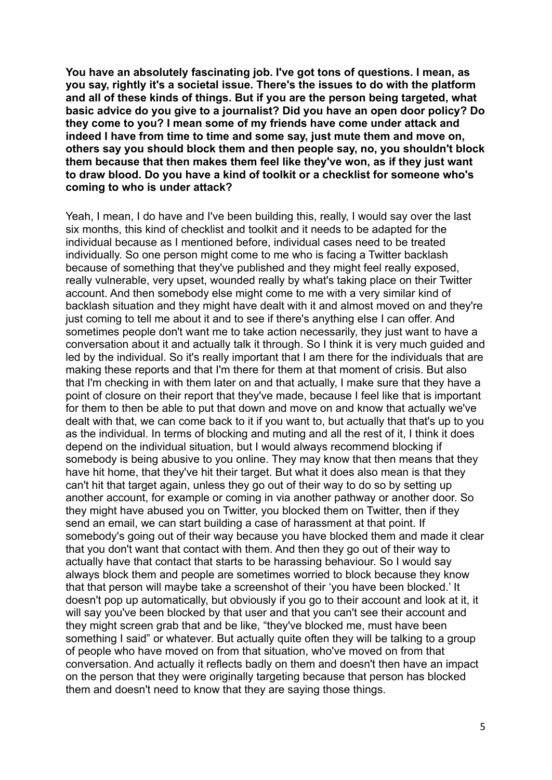**You have an absolutely fascinating job. I've got tons of questions. I mean, as you say, rightly it's a societal issue. There's the issues to do with the platform and all of these kinds of things. But if you are the person being targeted, what basic advice do you give to a journalist? Did you have an open door policy? Do they come to you? I mean some of my friends have come under attack and indeed I have from time to time and some say, just mute them and move on, others say you should block them and then people say, no, you shouldn't block them because that then makes them feel like they've won, as if they just want to draw blood. Do you have a kind of toolkit or a checklist for someone who's coming to who is under attack?**

Yeah, I mean, I do have and I've been building this, really, I would say over the last six months, this kind of checklist and toolkit and it needs to be adapted for the individual because as I mentioned before, individual cases need to be treated individually. So one person might come to me who is facing a Twitter backlash because of something that they've published and they might feel really exposed, really vulnerable, very upset, wounded really by what's taking place on their Twitter account. And then somebody else might come to me with a very similar kind of backlash situation and they might have dealt with it and almost moved on and they're just coming to tell me about it and to see if there's anything else I can offer. And sometimes people don't want me to take action necessarily, they just want to have a conversation about it and actually talk it through. So I think it is very much guided and led by the individual. So it's really important that I am there for the individuals that are making these reports and that I'm there for them at that moment of crisis. But also that I'm checking in with them later on and that actually, I make sure that they have a point of closure on their report that they've made, because I feel like that is important for them to then be able to put that down and move on and know that actually we've dealt with that, we can come back to it if you want to, but actually that that's up to you as the individual. In terms of blocking and muting and all the rest of it, I think it does depend on the individual situation, but I would always recommend blocking if somebody is being abusive to you online. They may know that then means that they have hit home, that they've hit their target. But what it does also mean is that they can't hit that target again, unless they go out of their way to do so by setting up another account, for example or coming in via another pathway or another door. So they might have abused you on Twitter, you blocked them on Twitter, then if they send an email, we can start building a case of harassment at that point. If somebody's going out of their way because you have blocked them and made it clear that you don't want that contact with them. And then they go out of their way to actually have that contact that starts to be harassing behaviour. So I would say always block them and people are sometimes worried to block because they know that that person will maybe take a screenshot of their 'you have been blocked.' It doesn't pop up automatically, but obviously if you go to their account and look at it, it will say you've been blocked by that user and that you can't see their account and they might screen grab that and be like, "they've blocked me, must have been something I said" or whatever. But actually quite often they will be talking to a group of people who have moved on from that situation, who've moved on from that conversation. And actually it reflects badly on them and doesn't then have an impact on the person that they were originally targeting because that person has blocked them and doesn't need to know that they are saying those things.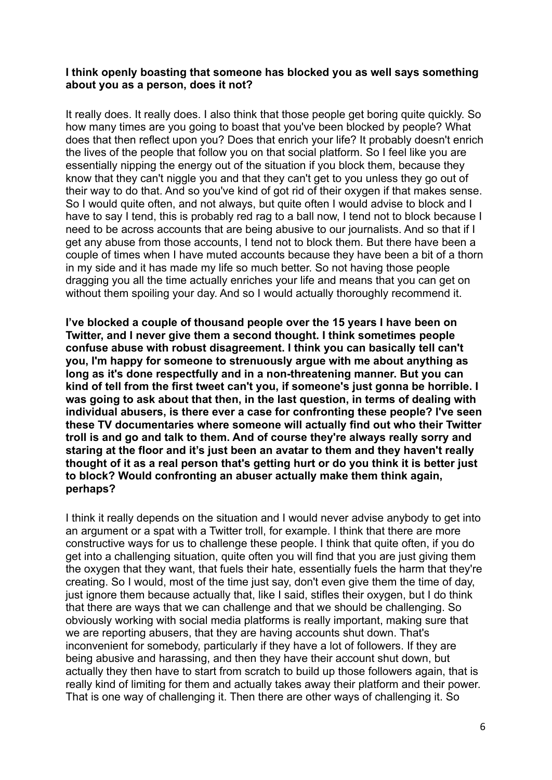#### **I think openly boasting that someone has blocked you as well says something about you as a person, does it not?**

It really does. It really does. I also think that those people get boring quite quickly. So how many times are you going to boast that you've been blocked by people? What does that then reflect upon you? Does that enrich your life? It probably doesn't enrich the lives of the people that follow you on that social platform. So I feel like you are essentially nipping the energy out of the situation if you block them, because they know that they can't niggle you and that they can't get to you unless they go out of their way to do that. And so you've kind of got rid of their oxygen if that makes sense. So I would quite often, and not always, but quite often I would advise to block and I have to say I tend, this is probably red rag to a ball now, I tend not to block because I need to be across accounts that are being abusive to our journalists. And so that if I get any abuse from those accounts, I tend not to block them. But there have been a couple of times when I have muted accounts because they have been a bit of a thorn in my side and it has made my life so much better. So not having those people dragging you all the time actually enriches your life and means that you can get on without them spoiling your day. And so I would actually thoroughly recommend it.

**I've blocked a couple of thousand people over the 15 years I have been on Twitter, and I never give them a second thought. I think sometimes people confuse abuse with robust disagreement. I think you can basically tell can't you, I'm happy for someone to strenuously argue with me about anything as long as it's done respectfully and in a non-threatening manner. But you can kind of tell from the first tweet can't you, if someone's just gonna be horrible. I was going to ask about that then, in the last question, in terms of dealing with individual abusers, is there ever a case for confronting these people? I've seen these TV documentaries where someone will actually find out who their Twitter troll is and go and talk to them. And of course they're always really sorry and staring at the floor and it's just been an avatar to them and they haven't really thought of it as a real person that's getting hurt or do you think it is better just to block? Would confronting an abuser actually make them think again, perhaps?**

I think it really depends on the situation and I would never advise anybody to get into an argument or a spat with a Twitter troll, for example. I think that there are more constructive ways for us to challenge these people. I think that quite often, if you do get into a challenging situation, quite often you will find that you are just giving them the oxygen that they want, that fuels their hate, essentially fuels the harm that they're creating. So I would, most of the time just say, don't even give them the time of day, just ignore them because actually that, like I said, stifles their oxygen, but I do think that there are ways that we can challenge and that we should be challenging. So obviously working with social media platforms is really important, making sure that we are reporting abusers, that they are having accounts shut down. That's inconvenient for somebody, particularly if they have a lot of followers. If they are being abusive and harassing, and then they have their account shut down, but actually they then have to start from scratch to build up those followers again, that is really kind of limiting for them and actually takes away their platform and their power. That is one way of challenging it. Then there are other ways of challenging it. So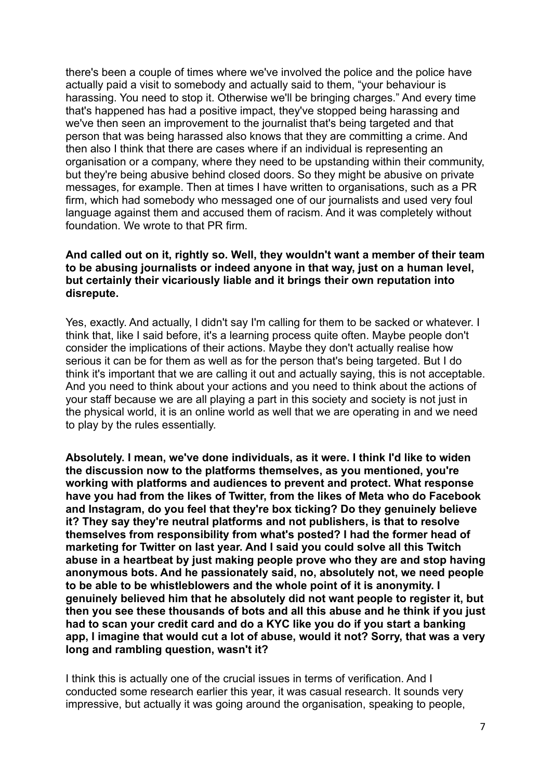there's been a couple of times where we've involved the police and the police have actually paid a visit to somebody and actually said to them, "your behaviour is harassing. You need to stop it. Otherwise we'll be bringing charges." And every time that's happened has had a positive impact, they've stopped being harassing and we've then seen an improvement to the journalist that's being targeted and that person that was being harassed also knows that they are committing a crime. And then also I think that there are cases where if an individual is representing an organisation or a company, where they need to be upstanding within their community, but they're being abusive behind closed doors. So they might be abusive on private messages, for example. Then at times I have written to organisations, such as a PR firm, which had somebody who messaged one of our journalists and used very foul language against them and accused them of racism. And it was completely without foundation. We wrote to that PR firm.

#### **And called out on it, rightly so. Well, they wouldn't want a member of their team to be abusing journalists or indeed anyone in that way, just on a human level, but certainly their vicariously liable and it brings their own reputation into disrepute.**

Yes, exactly. And actually, I didn't say I'm calling for them to be sacked or whatever. I think that, like I said before, it's a learning process quite often. Maybe people don't consider the implications of their actions. Maybe they don't actually realise how serious it can be for them as well as for the person that's being targeted. But I do think it's important that we are calling it out and actually saying, this is not acceptable. And you need to think about your actions and you need to think about the actions of your staff because we are all playing a part in this society and society is not just in the physical world, it is an online world as well that we are operating in and we need to play by the rules essentially.

**Absolutely. I mean, we've done individuals, as it were. I think I'd like to widen the discussion now to the platforms themselves, as you mentioned, you're working with platforms and audiences to prevent and protect. What response have you had from the likes of Twitter, from the likes of Meta who do Facebook and Instagram, do you feel that they're box ticking? Do they genuinely believe it? They say they're neutral platforms and not publishers, is that to resolve themselves from responsibility from what's posted? I had the former head of marketing for Twitter on last year. And I said you could solve all this Twitch abuse in a heartbeat by just making people prove who they are and stop having anonymous bots. And he passionately said, no, absolutely not, we need people to be able to be whistleblowers and the whole point of it is anonymity. I genuinely believed him that he absolutely did not want people to register it, but then you see these thousands of bots and all this abuse and he think if you just had to scan your credit card and do a KYC like you do if you start a banking app, I imagine that would cut a lot of abuse, would it not? Sorry, that was a very long and rambling question, wasn't it?**

I think this is actually one of the crucial issues in terms of verification. And I conducted some research earlier this year, it was casual research. It sounds very impressive, but actually it was going around the organisation, speaking to people,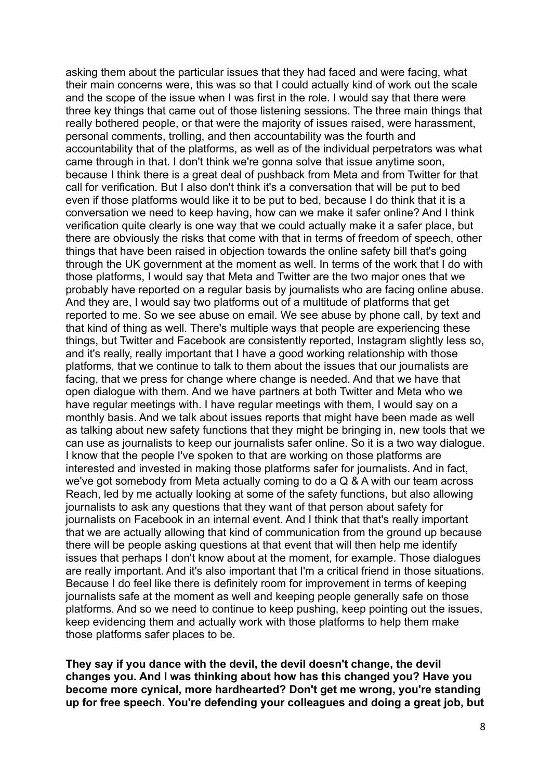asking them about the particular issues that they had faced and were facing, what their main concerns were, this was so that I could actually kind of work out the scale and the scope of the issue when I was first in the role. I would say that there were three key things that came out of those listening sessions. The three main things that really bothered people, or that were the majority of issues raised, were harassment, personal comments, trolling, and then accountability was the fourth and accountability that of the platforms, as well as of the individual perpetrators was what came through in that. I don't think we're gonna solve that issue anytime soon, because I think there is a great deal of pushback from Meta and from Twitter for that call for verification. But I also don't think it's a conversation that will be put to bed even if those platforms would like it to be put to bed, because I do think that it is a conversation we need to keep having, how can we make it safer online? And I think verification quite clearly is one way that we could actually make it a safer place, but there are obviously the risks that come with that in terms of freedom of speech, other things that have been raised in objection towards the online safety bill that's going through the UK government at the moment as well. In terms of the work that I do with those platforms, I would say that Meta and Twitter are the two major ones that we probably have reported on a regular basis by journalists who are facing online abuse. And they are, I would say two platforms out of a multitude of platforms that get reported to me. So we see abuse on email. We see abuse by phone call, by text and that kind of thing as well. There's multiple ways that people are experiencing these things, but Twitter and Facebook are consistently reported, Instagram slightly less so, and it's really, really important that I have a good working relationship with those platforms, that we continue to talk to them about the issues that our journalists are facing, that we press for change where change is needed. And that we have that open dialogue with them. And we have partners at both Twitter and Meta who we have regular meetings with. I have regular meetings with them, I would say on a monthly basis. And we talk about issues reports that might have been made as well as talking about new safety functions that they might be bringing in, new tools that we can use as journalists to keep our journalists safer online. So it is a two way dialogue. I know that the people I've spoken to that are working on those platforms are interested and invested in making those platforms safer for journalists. And in fact, we've got somebody from Meta actually coming to do a Q & A with our team across Reach, led by me actually looking at some of the safety functions, but also allowing journalists to ask any questions that they want of that person about safety for journalists on Facebook in an internal event. And I think that that's really important that we are actually allowing that kind of communication from the ground up because there will be people asking questions at that event that will then help me identify issues that perhaps I don't know about at the moment, for example. Those dialogues are really important. And it's also important that I'm a critical friend in those situations. Because I do feel like there is definitely room for improvement in terms of keeping journalists safe at the moment as well and keeping people generally safe on those platforms. And so we need to continue to keep pushing, keep pointing out the issues, keep evidencing them and actually work with those platforms to help them make those platforms safer places to be.

**They say if you dance with the devil, the devil doesn't change, the devil changes you. And I was thinking about how has this changed you? Have you become more cynical, more hardhearted? Don't get me wrong, you're standing up for free speech. You're defending your colleagues and doing a great job, but**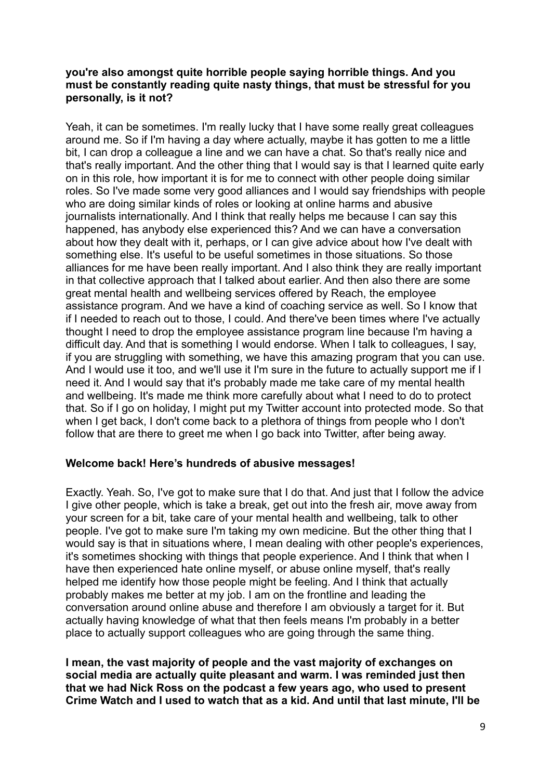## **you're also amongst quite horrible people saying horrible things. And you must be constantly reading quite nasty things, that must be stressful for you personally, is it not?**

Yeah, it can be sometimes. I'm really lucky that I have some really great colleagues around me. So if I'm having a day where actually, maybe it has gotten to me a little bit, I can drop a colleague a line and we can have a chat. So that's really nice and that's really important. And the other thing that I would say is that I learned quite early on in this role, how important it is for me to connect with other people doing similar roles. So I've made some very good alliances and I would say friendships with people who are doing similar kinds of roles or looking at online harms and abusive journalists internationally. And I think that really helps me because I can say this happened, has anybody else experienced this? And we can have a conversation about how they dealt with it, perhaps, or I can give advice about how I've dealt with something else. It's useful to be useful sometimes in those situations. So those alliances for me have been really important. And I also think they are really important in that collective approach that I talked about earlier. And then also there are some great mental health and wellbeing services offered by Reach, the employee assistance program. And we have a kind of coaching service as well. So I know that if I needed to reach out to those, I could. And there've been times where I've actually thought I need to drop the employee assistance program line because I'm having a difficult day. And that is something I would endorse. When I talk to colleagues, I say, if you are struggling with something, we have this amazing program that you can use. And I would use it too, and we'll use it I'm sure in the future to actually support me if I need it. And I would say that it's probably made me take care of my mental health and wellbeing. It's made me think more carefully about what I need to do to protect that. So if I go on holiday, I might put my Twitter account into protected mode. So that when I get back. I don't come back to a plethora of things from people who I don't follow that are there to greet me when I go back into Twitter, after being away.

## **Welcome back! Here's hundreds of abusive messages!**

Exactly. Yeah. So, I've got to make sure that I do that. And just that I follow the advice I give other people, which is take a break, get out into the fresh air, move away from your screen for a bit, take care of your mental health and wellbeing, talk to other people. I've got to make sure I'm taking my own medicine. But the other thing that I would say is that in situations where, I mean dealing with other people's experiences, it's sometimes shocking with things that people experience. And I think that when I have then experienced hate online myself, or abuse online myself, that's really helped me identify how those people might be feeling. And I think that actually probably makes me better at my job. I am on the frontline and leading the conversation around online abuse and therefore I am obviously a target for it. But actually having knowledge of what that then feels means I'm probably in a better place to actually support colleagues who are going through the same thing.

**I mean, the vast majority of people and the vast majority of exchanges on social media are actually quite pleasant and warm. I was reminded just then that we had Nick Ross on the podcast a few years ago, who used to present Crime Watch and I used to watch that as a kid. And until that last minute, I'll be**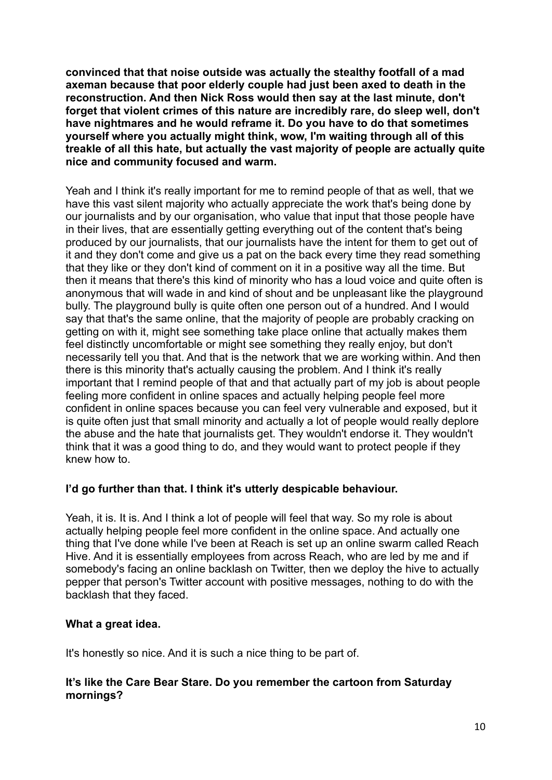**convinced that that noise outside was actually the stealthy footfall of a mad axeman because that poor elderly couple had just been axed to death in the reconstruction. And then Nick Ross would then say at the last minute, don't forget that violent crimes of this nature are incredibly rare, do sleep well, don't have nightmares and he would reframe it. Do you have to do that sometimes yourself where you actually might think, wow, I'm waiting through all of this treakle of all this hate, but actually the vast majority of people are actually quite nice and community focused and warm.**

Yeah and I think it's really important for me to remind people of that as well, that we have this vast silent majority who actually appreciate the work that's being done by our journalists and by our organisation, who value that input that those people have in their lives, that are essentially getting everything out of the content that's being produced by our journalists, that our journalists have the intent for them to get out of it and they don't come and give us a pat on the back every time they read something that they like or they don't kind of comment on it in a positive way all the time. But then it means that there's this kind of minority who has a loud voice and quite often is anonymous that will wade in and kind of shout and be unpleasant like the playground bully. The playground bully is quite often one person out of a hundred. And I would say that that's the same online, that the majority of people are probably cracking on getting on with it, might see something take place online that actually makes them feel distinctly uncomfortable or might see something they really enjoy, but don't necessarily tell you that. And that is the network that we are working within. And then there is this minority that's actually causing the problem. And I think it's really important that I remind people of that and that actually part of my job is about people feeling more confident in online spaces and actually helping people feel more confident in online spaces because you can feel very vulnerable and exposed, but it is quite often just that small minority and actually a lot of people would really deplore the abuse and the hate that journalists get. They wouldn't endorse it. They wouldn't think that it was a good thing to do, and they would want to protect people if they knew how to.

## **I'd go further than that. I think it's utterly despicable behaviour.**

Yeah, it is. It is. And I think a lot of people will feel that way. So my role is about actually helping people feel more confident in the online space. And actually one thing that I've done while I've been at Reach is set up an online swarm called Reach Hive. And it is essentially employees from across Reach, who are led by me and if somebody's facing an online backlash on Twitter, then we deploy the hive to actually pepper that person's Twitter account with positive messages, nothing to do with the backlash that they faced.

## **What a great idea.**

It's honestly so nice. And it is such a nice thing to be part of.

# **It's like the Care Bear Stare. Do you remember the cartoon from Saturday mornings?**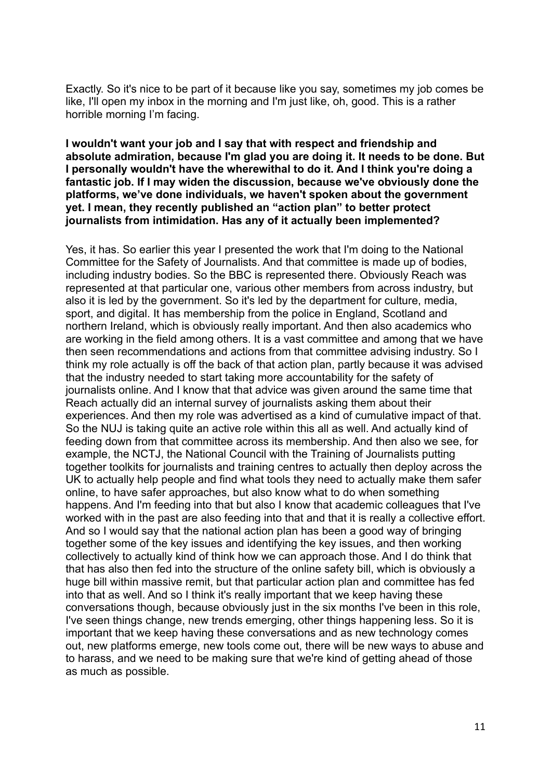Exactly. So it's nice to be part of it because like you say, sometimes my job comes be like, I'll open my inbox in the morning and I'm just like, oh, good. This is a rather horrible morning I'm facing.

**I wouldn't want your job and I say that with respect and friendship and absolute admiration, because I'm glad you are doing it. It needs to be done. But I personally wouldn't have the wherewithal to do it. And I think you're doing a fantastic job. If I may widen the discussion, because we've obviously done the platforms, we've done individuals, we haven't spoken about the government yet. I mean, they recently published an "action plan" to better protect journalists from intimidation. Has any of it actually been implemented?**

Yes, it has. So earlier this year I presented the work that I'm doing to the National Committee for the Safety of Journalists. And that committee is made up of bodies, including industry bodies. So the BBC is represented there. Obviously Reach was represented at that particular one, various other members from across industry, but also it is led by the government. So it's led by the department for culture, media, sport, and digital. It has membership from the police in England, Scotland and northern Ireland, which is obviously really important. And then also academics who are working in the field among others. It is a vast committee and among that we have then seen recommendations and actions from that committee advising industry. So I think my role actually is off the back of that action plan, partly because it was advised that the industry needed to start taking more accountability for the safety of journalists online. And I know that that advice was given around the same time that Reach actually did an internal survey of journalists asking them about their experiences. And then my role was advertised as a kind of cumulative impact of that. So the NUJ is taking quite an active role within this all as well. And actually kind of feeding down from that committee across its membership. And then also we see, for example, the NCTJ, the National Council with the Training of Journalists putting together toolkits for journalists and training centres to actually then deploy across the UK to actually help people and find what tools they need to actually make them safer online, to have safer approaches, but also know what to do when something happens. And I'm feeding into that but also I know that academic colleagues that I've worked with in the past are also feeding into that and that it is really a collective effort. And so I would say that the national action plan has been a good way of bringing together some of the key issues and identifying the key issues, and then working collectively to actually kind of think how we can approach those. And I do think that that has also then fed into the structure of the online safety bill, which is obviously a huge bill within massive remit, but that particular action plan and committee has fed into that as well. And so I think it's really important that we keep having these conversations though, because obviously just in the six months I've been in this role, I've seen things change, new trends emerging, other things happening less. So it is important that we keep having these conversations and as new technology comes out, new platforms emerge, new tools come out, there will be new ways to abuse and to harass, and we need to be making sure that we're kind of getting ahead of those as much as possible.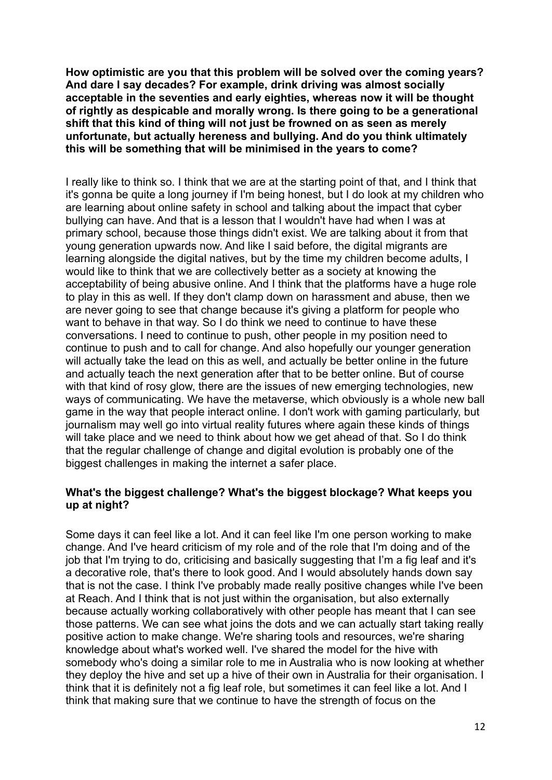**How optimistic are you that this problem will be solved over the coming years? And dare I say decades? For example, drink driving was almost socially acceptable in the seventies and early eighties, whereas now it will be thought of rightly as despicable and morally wrong. Is there going to be a generational shift that this kind of thing will not just be frowned on as seen as merely unfortunate, but actually hereness and bullying. And do you think ultimately this will be something that will be minimised in the years to come?**

I really like to think so. I think that we are at the starting point of that, and I think that it's gonna be quite a long journey if I'm being honest, but I do look at my children who are learning about online safety in school and talking about the impact that cyber bullying can have. And that is a lesson that I wouldn't have had when I was at primary school, because those things didn't exist. We are talking about it from that young generation upwards now. And like I said before, the digital migrants are learning alongside the digital natives, but by the time my children become adults, I would like to think that we are collectively better as a society at knowing the acceptability of being abusive online. And I think that the platforms have a huge role to play in this as well. If they don't clamp down on harassment and abuse, then we are never going to see that change because it's giving a platform for people who want to behave in that way. So I do think we need to continue to have these conversations. I need to continue to push, other people in my position need to continue to push and to call for change. And also hopefully our younger generation will actually take the lead on this as well, and actually be better online in the future and actually teach the next generation after that to be better online. But of course with that kind of rosy glow, there are the issues of new emerging technologies, new ways of communicating. We have the metaverse, which obviously is a whole new ball game in the way that people interact online. I don't work with gaming particularly, but journalism may well go into virtual reality futures where again these kinds of things will take place and we need to think about how we get ahead of that. So I do think that the regular challenge of change and digital evolution is probably one of the biggest challenges in making the internet a safer place.

## **What's the biggest challenge? What's the biggest blockage? What keeps you up at night?**

Some days it can feel like a lot. And it can feel like I'm one person working to make change. And I've heard criticism of my role and of the role that I'm doing and of the job that I'm trying to do, criticising and basically suggesting that I'm a fig leaf and it's a decorative role, that's there to look good. And I would absolutely hands down say that is not the case. I think I've probably made really positive changes while I've been at Reach. And I think that is not just within the organisation, but also externally because actually working collaboratively with other people has meant that I can see those patterns. We can see what joins the dots and we can actually start taking really positive action to make change. We're sharing tools and resources, we're sharing knowledge about what's worked well. I've shared the model for the hive with somebody who's doing a similar role to me in Australia who is now looking at whether they deploy the hive and set up a hive of their own in Australia for their organisation. I think that it is definitely not a fig leaf role, but sometimes it can feel like a lot. And I think that making sure that we continue to have the strength of focus on the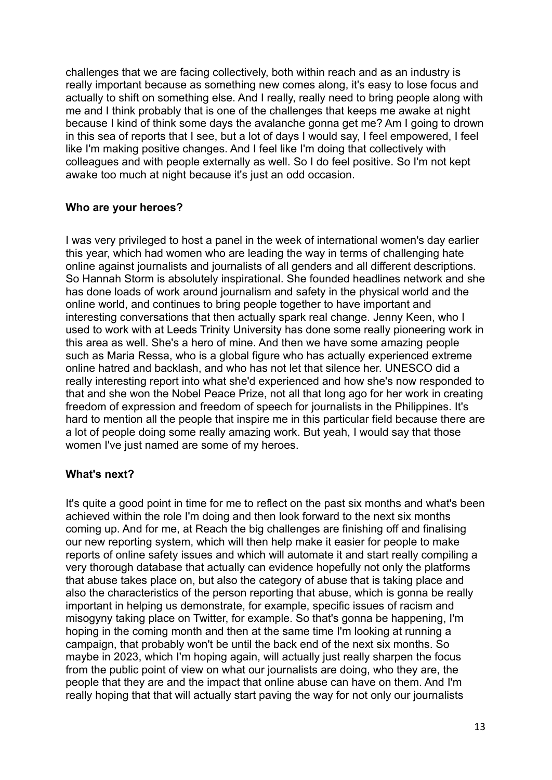challenges that we are facing collectively, both within reach and as an industry is really important because as something new comes along, it's easy to lose focus and actually to shift on something else. And I really, really need to bring people along with me and I think probably that is one of the challenges that keeps me awake at night because I kind of think some days the avalanche gonna get me? Am I going to drown in this sea of reports that I see, but a lot of days I would say, I feel empowered, I feel like I'm making positive changes. And I feel like I'm doing that collectively with colleagues and with people externally as well. So I do feel positive. So I'm not kept awake too much at night because it's just an odd occasion.

# **Who are your heroes?**

I was very privileged to host a panel in the week of international women's day earlier this year, which had women who are leading the way in terms of challenging hate online against journalists and journalists of all genders and all different descriptions. So Hannah Storm is absolutely inspirational. She founded headlines network and she has done loads of work around journalism and safety in the physical world and the online world, and continues to bring people together to have important and interesting conversations that then actually spark real change. Jenny Keen, who I used to work with at Leeds Trinity University has done some really pioneering work in this area as well. She's a hero of mine. And then we have some amazing people such as Maria Ressa, who is a global figure who has actually experienced extreme online hatred and backlash, and who has not let that silence her. UNESCO did a really interesting report into what she'd experienced and how she's now responded to that and she won the Nobel Peace Prize, not all that long ago for her work in creating freedom of expression and freedom of speech for journalists in the Philippines. It's hard to mention all the people that inspire me in this particular field because there are a lot of people doing some really amazing work. But yeah, I would say that those women I've just named are some of my heroes.

# **What's next?**

It's quite a good point in time for me to reflect on the past six months and what's been achieved within the role I'm doing and then look forward to the next six months coming up. And for me, at Reach the big challenges are finishing off and finalising our new reporting system, which will then help make it easier for people to make reports of online safety issues and which will automate it and start really compiling a very thorough database that actually can evidence hopefully not only the platforms that abuse takes place on, but also the category of abuse that is taking place and also the characteristics of the person reporting that abuse, which is gonna be really important in helping us demonstrate, for example, specific issues of racism and misogyny taking place on Twitter, for example. So that's gonna be happening, I'm hoping in the coming month and then at the same time I'm looking at running a campaign, that probably won't be until the back end of the next six months. So maybe in 2023, which I'm hoping again, will actually just really sharpen the focus from the public point of view on what our journalists are doing, who they are, the people that they are and the impact that online abuse can have on them. And I'm really hoping that that will actually start paving the way for not only our journalists